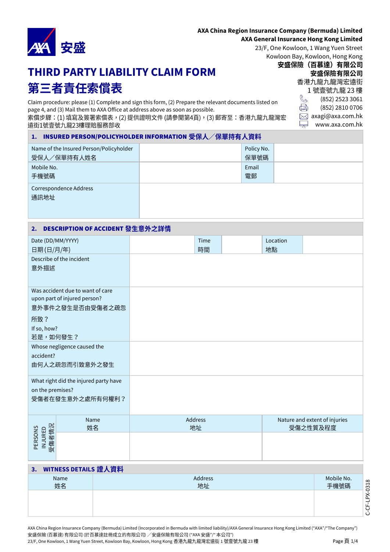

## **AXA China Region Insurance Company (Bermuda) Limited**

## **AXA General Insurance Hong Kong Limited**

23/F, One Kowloon, 1 Wang Yuen Street Kowloon Bay, Kowloon, Hong Kong

# **THIRD PARTY LIABILITY CLAIM FORM** 第三者責任索償表

Claim procedure: please (1) Complete and sign this form, (2) Prepare the relevant documents listed on page 4, and (3) Mail them to AXA Office at address above as soon as possible. 索償步驟:(1) 填寫及簽署索償表,(2) 提供證明文件 (請參閱第4頁),(3) 郵寄至:香港九龍九龍灣宏 遠街1號壹號九龍23樓理賠服務部收

安盛保險 (百慕達) 有限公司 安盛保險有限公司 香港九龍九龍灣宏遠街 1號壹號九龍 23樓  $\mathbb{C}$ (852) 2523 3061 ÷ (852) 2810 0706  $\boxtimes$  axagi@axa.com.hk

<u>L.</u> www.axa.com.hk

| Name of the Insured Person/Policyholder<br>受保人/保單持有人姓名 | Policy No.<br>保單號碼 |  |
|--------------------------------------------------------|--------------------|--|
| Mobile No.<br>手機號碼                                     | Email<br>電郵        |  |
| Correspondence Address<br>通訊地址                         |                    |  |

# **2.** DESCRIPTION OF ACCIDENT

| Date (DD/MM/YYYY)<br>日期(日/月/年) |                                                                                      | Time<br>時間    | Location<br>地點 |                                           |
|--------------------------------|--------------------------------------------------------------------------------------|---------------|----------------|-------------------------------------------|
| 意外描述                           | Describe of the incident                                                             |               |                |                                           |
|                                | Was accident due to want of care<br>upon part of injured person?<br>意外事件之發生是否由受傷者之疏忽 |               |                |                                           |
| 所致?<br>If so, how?<br>若是,如何發生? |                                                                                      |               |                |                                           |
| accident?                      | Whose negligence caused the<br>由何人之疏忽而引致意外之發生                                        |               |                |                                           |
| on the premises?               | What right did the injured party have<br>受傷者在發生意外之處所有何權利?                            |               |                |                                           |
|                                | Name<br>姓名                                                                           | Address<br>地址 |                | Nature and extent of injuries<br>受傷之性質及程度 |
| 受傷者情況<br>PERSONS<br>INJURED    |                                                                                      |               |                |                                           |

# **3. WITNESS DETAILS 證人資料**

| Name<br>姓名 | Address<br>地址 | Mobile No.<br>手機號碼 |
|------------|---------------|--------------------|
|            |               |                    |

AXA China Region Insurance Company (Bermuda) Limited (Incorporated in Bermuda with limited liability)/AXA General Insurance Hong Kong Limited ("AXA"/"The Company") 安盛保險(百慕達)有限公司 (於百慕達註冊成立的有限公司) / 安盛保險有限公司 ("AXA 安盛"/" 本公司") 23/F, One Kowloon, 1 Wang Yuen Street, Kowloon Bay, Kowloon, Hong Kong 香港九龍九龍灣宏遠街 1 號壹號九龍 23 樓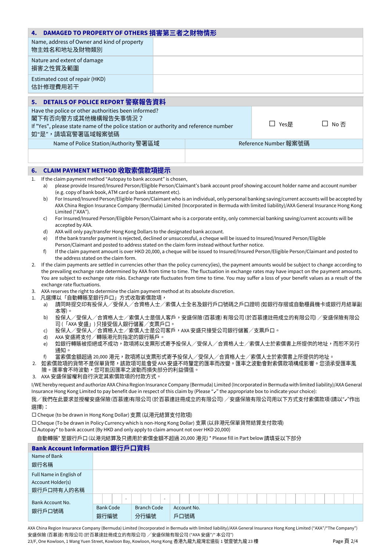| Name, address of Owner and kind of property<br>物主姓名和地址及財物類別<br>Nature and extent of damage<br>損害之性質及範圍<br>Estimated cost of repair (HKD)<br>估計修理費用若干<br>DETAILS OF POLICE REPORT 警察報告資料<br>5.<br>Have the police or other authorities been informed?<br>閣下有否向警方或其他機構報告失事情況?<br>□ Yes是<br>□ No否<br>If "Yes", please state name of the police station or authority and reference number<br>如"是",請填寫警署區域報案號碼<br>Reference Number 報案號碼<br>Name of Police Station/Authority 警署區域<br>CLAIM PAYMENT METHOD 收取索償款項提示<br>6.<br>If the claim payment method "Autopay to bank account" is chosen,<br>1.<br>please provide Insured/Insured Person/Eligible Person/Claimant's bank account proof showing account holder name and account number<br>a)<br>(e.g. copy of bank book, ATM card or bank statement etc).<br>For Insured/Insured Person/Eligible Person/Claimant who is an individual, only personal banking saving/current accounts will be accepted by<br>b)<br>AXA China Region Insurance Company (Bermuda) Limited (Incorporated in Bermuda with limited liability)/AXA General Insurance Hong Kong<br>Limited ("AXA").<br>For Insured/Insured Person/Eligible Person/Claimant who is a corporate entity, only commercial banking saving/current accounts will be<br>C)<br>accepted by AXA.<br>AXA will only pay/transfer Hong Kong Dollars to the designated bank account.<br>d)<br>If the bank transfer payment is rejected, declined or unsuccessful, a cheque will be issued to Insured/Insured Person/Eligible<br>e)<br>Person/Claimant and posted to address stated on the claim form instead without further notice.<br>f)<br>If the claim payment amount is over HKD 20,000, a cheque will be issued to Insured/Insured Person/Eligible Person/Claimant and posted to<br>the address stated on the claim form.<br>If the claim payments are settled in currencies other than the policy currency(ies), the payment amounts would be subject to change according to<br>2.<br>the prevailing exchange rate determined by AXA from time to time. The fluctuation in exchange rates may have impact on the payment amounts.<br>You are subject to exchange rate risks. Exchange rate fluctuates from time to time. You may suffer a loss of your benefit values as a result of the<br>exchange rate fluctuations.<br>AXA reserves the right to determine the claim payment method at its absolute discretion.<br>3.<br>1. 凡選擇以「自動轉賬至銀行戶口」方式收取索償款項,<br>請同時提交印有投保人/受保人/合資格人士/索償人士全名及銀行戶口號碼之戶口證明(如銀行存摺或自動櫃員機卡或銀行月結單副<br>a)<br>本等)。<br>投保人/受保人/合資格人士/索償人士是個人客戶,安盛保險 (百慕達) 有限公司 (於百慕達註冊成立的有限公司) /安盛保險有限公<br>b)<br>司(「AXA 安盛」)只接受個人銀行儲蓄/支票戶口。<br>投保人/受保人/合資格人士/索償人士是公司客户,AXA 安盛只接受公司銀行儲蓄/支票户口。<br>C)<br>AXA 安盛將支付/轉賬港元到指定的銀行賬戶。<br>d)<br>如銀行轉賬被拒絕或不成功,款項將以支票形式寄予投保人/受保人/合資格人士/索償人士於索償書上所提供的地址,而恕不另行<br>e)<br>通知。<br>當索償金額超過 20,000 港元,款項將以支票形式寄予投保人/受保人/合資格人士/索償人士於索償書上所提供的地址。<br>f)<br>2. 如索償款項的貨幣不是保單貨幣,該款項可能會受 AXA 安盛不時釐定的匯率而改變。匯率之波動會對索償款項構成影響。您須承受匯率風<br>險。匯率會不時波動,您可能因匯率之波動而損失部分的利益價值。<br>3. AXA 安盛保留權利自行決定其索償款項的付款方式。<br>I/WE hereby request and authorize AXA China Region Insurance Company (Bermuda) Limited (Incorporated in Bermuda with limited liability)/AXA General<br>Insurance Hong Kong Limited to pay benefit due in respect of this claim by (Please "v" the appropriate box to indicate your choice):<br>我/我們在此要求並授權安盛保險(百慕達)有限公司 (於百慕達註冊成立的有限公司) /安盛保險有限公司用以下方式支付索償款項 (請以"、"作出<br>選擇):<br>□ Cheque (to be drawn in Hong Kong Dollar) 支票 (以港元結算支付款項)<br>口 Cheque (To be drawn in Policy Currency which is non-Hong Kong Dollar) 支票 (以非港元保單貨幣結算支付款項)<br>$\Box$ Autopay* to bank account (By HKD and only apply to claim amount not over HKD 20,000)<br>自動轉賬* 至銀行戶口 (以港元結算及只適用於索償金額不超過 20,000 港元) * Please fill in Part below 請填妥以下部分<br>Bank Account Information 銀行戶口資料 | DAMAGED TO PROPERTY OF OTHERS 損害第三者之財物情形<br>4. |  |  |  |  |  |  |  |  |  |
|--------------------------------------------------------------------------------------------------------------------------------------------------------------------------------------------------------------------------------------------------------------------------------------------------------------------------------------------------------------------------------------------------------------------------------------------------------------------------------------------------------------------------------------------------------------------------------------------------------------------------------------------------------------------------------------------------------------------------------------------------------------------------------------------------------------------------------------------------------------------------------------------------------------------------------------------------------------------------------------------------------------------------------------------------------------------------------------------------------------------------------------------------------------------------------------------------------------------------------------------------------------------------------------------------------------------------------------------------------------------------------------------------------------------------------------------------------------------------------------------------------------------------------------------------------------------------------------------------------------------------------------------------------------------------------------------------------------------------------------------------------------------------------------------------------------------------------------------------------------------------------------------------------------------------------------------------------------------------------------------------------------------------------------------------------------------------------------------------------------------------------------------------------------------------------------------------------------------------------------------------------------------------------------------------------------------------------------------------------------------------------------------------------------------------------------------------------------------------------------------------------------------------------------------------------------------------------------------------------------------------------------------------------------------------------------------------------------------------------------------------------------------------------------------------------------------------------------------------------------------------------------------------------------------------------------------------------------------------------------------------------------------------------------------------------------------------------------------------------------------------------------------------------------------------------------------------------------------------------------------------------------------------------------------------------------------------------------------------------------------------------------------------------------------------------------------------------------------------------------------------------------------------------------------------------------------------------------------------------------------------------------------------------------------------------------------------------------------------------------------------------------------------------------------|------------------------------------------------|--|--|--|--|--|--|--|--|--|
|                                                                                                                                                                                                                                                                                                                                                                                                                                                                                                                                                                                                                                                                                                                                                                                                                                                                                                                                                                                                                                                                                                                                                                                                                                                                                                                                                                                                                                                                                                                                                                                                                                                                                                                                                                                                                                                                                                                                                                                                                                                                                                                                                                                                                                                                                                                                                                                                                                                                                                                                                                                                                                                                                                                                                                                                                                                                                                                                                                                                                                                                                                                                                                                                                                                                                                                                                                                                                                                                                                                                                                                                                                                                                                                                                                                            |                                                |  |  |  |  |  |  |  |  |  |
|                                                                                                                                                                                                                                                                                                                                                                                                                                                                                                                                                                                                                                                                                                                                                                                                                                                                                                                                                                                                                                                                                                                                                                                                                                                                                                                                                                                                                                                                                                                                                                                                                                                                                                                                                                                                                                                                                                                                                                                                                                                                                                                                                                                                                                                                                                                                                                                                                                                                                                                                                                                                                                                                                                                                                                                                                                                                                                                                                                                                                                                                                                                                                                                                                                                                                                                                                                                                                                                                                                                                                                                                                                                                                                                                                                                            |                                                |  |  |  |  |  |  |  |  |  |
|                                                                                                                                                                                                                                                                                                                                                                                                                                                                                                                                                                                                                                                                                                                                                                                                                                                                                                                                                                                                                                                                                                                                                                                                                                                                                                                                                                                                                                                                                                                                                                                                                                                                                                                                                                                                                                                                                                                                                                                                                                                                                                                                                                                                                                                                                                                                                                                                                                                                                                                                                                                                                                                                                                                                                                                                                                                                                                                                                                                                                                                                                                                                                                                                                                                                                                                                                                                                                                                                                                                                                                                                                                                                                                                                                                                            |                                                |  |  |  |  |  |  |  |  |  |
|                                                                                                                                                                                                                                                                                                                                                                                                                                                                                                                                                                                                                                                                                                                                                                                                                                                                                                                                                                                                                                                                                                                                                                                                                                                                                                                                                                                                                                                                                                                                                                                                                                                                                                                                                                                                                                                                                                                                                                                                                                                                                                                                                                                                                                                                                                                                                                                                                                                                                                                                                                                                                                                                                                                                                                                                                                                                                                                                                                                                                                                                                                                                                                                                                                                                                                                                                                                                                                                                                                                                                                                                                                                                                                                                                                                            |                                                |  |  |  |  |  |  |  |  |  |
|                                                                                                                                                                                                                                                                                                                                                                                                                                                                                                                                                                                                                                                                                                                                                                                                                                                                                                                                                                                                                                                                                                                                                                                                                                                                                                                                                                                                                                                                                                                                                                                                                                                                                                                                                                                                                                                                                                                                                                                                                                                                                                                                                                                                                                                                                                                                                                                                                                                                                                                                                                                                                                                                                                                                                                                                                                                                                                                                                                                                                                                                                                                                                                                                                                                                                                                                                                                                                                                                                                                                                                                                                                                                                                                                                                                            |                                                |  |  |  |  |  |  |  |  |  |
|                                                                                                                                                                                                                                                                                                                                                                                                                                                                                                                                                                                                                                                                                                                                                                                                                                                                                                                                                                                                                                                                                                                                                                                                                                                                                                                                                                                                                                                                                                                                                                                                                                                                                                                                                                                                                                                                                                                                                                                                                                                                                                                                                                                                                                                                                                                                                                                                                                                                                                                                                                                                                                                                                                                                                                                                                                                                                                                                                                                                                                                                                                                                                                                                                                                                                                                                                                                                                                                                                                                                                                                                                                                                                                                                                                                            |                                                |  |  |  |  |  |  |  |  |  |
|                                                                                                                                                                                                                                                                                                                                                                                                                                                                                                                                                                                                                                                                                                                                                                                                                                                                                                                                                                                                                                                                                                                                                                                                                                                                                                                                                                                                                                                                                                                                                                                                                                                                                                                                                                                                                                                                                                                                                                                                                                                                                                                                                                                                                                                                                                                                                                                                                                                                                                                                                                                                                                                                                                                                                                                                                                                                                                                                                                                                                                                                                                                                                                                                                                                                                                                                                                                                                                                                                                                                                                                                                                                                                                                                                                                            |                                                |  |  |  |  |  |  |  |  |  |
|                                                                                                                                                                                                                                                                                                                                                                                                                                                                                                                                                                                                                                                                                                                                                                                                                                                                                                                                                                                                                                                                                                                                                                                                                                                                                                                                                                                                                                                                                                                                                                                                                                                                                                                                                                                                                                                                                                                                                                                                                                                                                                                                                                                                                                                                                                                                                                                                                                                                                                                                                                                                                                                                                                                                                                                                                                                                                                                                                                                                                                                                                                                                                                                                                                                                                                                                                                                                                                                                                                                                                                                                                                                                                                                                                                                            |                                                |  |  |  |  |  |  |  |  |  |
|                                                                                                                                                                                                                                                                                                                                                                                                                                                                                                                                                                                                                                                                                                                                                                                                                                                                                                                                                                                                                                                                                                                                                                                                                                                                                                                                                                                                                                                                                                                                                                                                                                                                                                                                                                                                                                                                                                                                                                                                                                                                                                                                                                                                                                                                                                                                                                                                                                                                                                                                                                                                                                                                                                                                                                                                                                                                                                                                                                                                                                                                                                                                                                                                                                                                                                                                                                                                                                                                                                                                                                                                                                                                                                                                                                                            |                                                |  |  |  |  |  |  |  |  |  |
|                                                                                                                                                                                                                                                                                                                                                                                                                                                                                                                                                                                                                                                                                                                                                                                                                                                                                                                                                                                                                                                                                                                                                                                                                                                                                                                                                                                                                                                                                                                                                                                                                                                                                                                                                                                                                                                                                                                                                                                                                                                                                                                                                                                                                                                                                                                                                                                                                                                                                                                                                                                                                                                                                                                                                                                                                                                                                                                                                                                                                                                                                                                                                                                                                                                                                                                                                                                                                                                                                                                                                                                                                                                                                                                                                                                            |                                                |  |  |  |  |  |  |  |  |  |
|                                                                                                                                                                                                                                                                                                                                                                                                                                                                                                                                                                                                                                                                                                                                                                                                                                                                                                                                                                                                                                                                                                                                                                                                                                                                                                                                                                                                                                                                                                                                                                                                                                                                                                                                                                                                                                                                                                                                                                                                                                                                                                                                                                                                                                                                                                                                                                                                                                                                                                                                                                                                                                                                                                                                                                                                                                                                                                                                                                                                                                                                                                                                                                                                                                                                                                                                                                                                                                                                                                                                                                                                                                                                                                                                                                                            |                                                |  |  |  |  |  |  |  |  |  |
|                                                                                                                                                                                                                                                                                                                                                                                                                                                                                                                                                                                                                                                                                                                                                                                                                                                                                                                                                                                                                                                                                                                                                                                                                                                                                                                                                                                                                                                                                                                                                                                                                                                                                                                                                                                                                                                                                                                                                                                                                                                                                                                                                                                                                                                                                                                                                                                                                                                                                                                                                                                                                                                                                                                                                                                                                                                                                                                                                                                                                                                                                                                                                                                                                                                                                                                                                                                                                                                                                                                                                                                                                                                                                                                                                                                            |                                                |  |  |  |  |  |  |  |  |  |
|                                                                                                                                                                                                                                                                                                                                                                                                                                                                                                                                                                                                                                                                                                                                                                                                                                                                                                                                                                                                                                                                                                                                                                                                                                                                                                                                                                                                                                                                                                                                                                                                                                                                                                                                                                                                                                                                                                                                                                                                                                                                                                                                                                                                                                                                                                                                                                                                                                                                                                                                                                                                                                                                                                                                                                                                                                                                                                                                                                                                                                                                                                                                                                                                                                                                                                                                                                                                                                                                                                                                                                                                                                                                                                                                                                                            |                                                |  |  |  |  |  |  |  |  |  |
|                                                                                                                                                                                                                                                                                                                                                                                                                                                                                                                                                                                                                                                                                                                                                                                                                                                                                                                                                                                                                                                                                                                                                                                                                                                                                                                                                                                                                                                                                                                                                                                                                                                                                                                                                                                                                                                                                                                                                                                                                                                                                                                                                                                                                                                                                                                                                                                                                                                                                                                                                                                                                                                                                                                                                                                                                                                                                                                                                                                                                                                                                                                                                                                                                                                                                                                                                                                                                                                                                                                                                                                                                                                                                                                                                                                            |                                                |  |  |  |  |  |  |  |  |  |
|                                                                                                                                                                                                                                                                                                                                                                                                                                                                                                                                                                                                                                                                                                                                                                                                                                                                                                                                                                                                                                                                                                                                                                                                                                                                                                                                                                                                                                                                                                                                                                                                                                                                                                                                                                                                                                                                                                                                                                                                                                                                                                                                                                                                                                                                                                                                                                                                                                                                                                                                                                                                                                                                                                                                                                                                                                                                                                                                                                                                                                                                                                                                                                                                                                                                                                                                                                                                                                                                                                                                                                                                                                                                                                                                                                                            |                                                |  |  |  |  |  |  |  |  |  |
|                                                                                                                                                                                                                                                                                                                                                                                                                                                                                                                                                                                                                                                                                                                                                                                                                                                                                                                                                                                                                                                                                                                                                                                                                                                                                                                                                                                                                                                                                                                                                                                                                                                                                                                                                                                                                                                                                                                                                                                                                                                                                                                                                                                                                                                                                                                                                                                                                                                                                                                                                                                                                                                                                                                                                                                                                                                                                                                                                                                                                                                                                                                                                                                                                                                                                                                                                                                                                                                                                                                                                                                                                                                                                                                                                                                            |                                                |  |  |  |  |  |  |  |  |  |
|                                                                                                                                                                                                                                                                                                                                                                                                                                                                                                                                                                                                                                                                                                                                                                                                                                                                                                                                                                                                                                                                                                                                                                                                                                                                                                                                                                                                                                                                                                                                                                                                                                                                                                                                                                                                                                                                                                                                                                                                                                                                                                                                                                                                                                                                                                                                                                                                                                                                                                                                                                                                                                                                                                                                                                                                                                                                                                                                                                                                                                                                                                                                                                                                                                                                                                                                                                                                                                                                                                                                                                                                                                                                                                                                                                                            |                                                |  |  |  |  |  |  |  |  |  |
|                                                                                                                                                                                                                                                                                                                                                                                                                                                                                                                                                                                                                                                                                                                                                                                                                                                                                                                                                                                                                                                                                                                                                                                                                                                                                                                                                                                                                                                                                                                                                                                                                                                                                                                                                                                                                                                                                                                                                                                                                                                                                                                                                                                                                                                                                                                                                                                                                                                                                                                                                                                                                                                                                                                                                                                                                                                                                                                                                                                                                                                                                                                                                                                                                                                                                                                                                                                                                                                                                                                                                                                                                                                                                                                                                                                            |                                                |  |  |  |  |  |  |  |  |  |
|                                                                                                                                                                                                                                                                                                                                                                                                                                                                                                                                                                                                                                                                                                                                                                                                                                                                                                                                                                                                                                                                                                                                                                                                                                                                                                                                                                                                                                                                                                                                                                                                                                                                                                                                                                                                                                                                                                                                                                                                                                                                                                                                                                                                                                                                                                                                                                                                                                                                                                                                                                                                                                                                                                                                                                                                                                                                                                                                                                                                                                                                                                                                                                                                                                                                                                                                                                                                                                                                                                                                                                                                                                                                                                                                                                                            |                                                |  |  |  |  |  |  |  |  |  |
|                                                                                                                                                                                                                                                                                                                                                                                                                                                                                                                                                                                                                                                                                                                                                                                                                                                                                                                                                                                                                                                                                                                                                                                                                                                                                                                                                                                                                                                                                                                                                                                                                                                                                                                                                                                                                                                                                                                                                                                                                                                                                                                                                                                                                                                                                                                                                                                                                                                                                                                                                                                                                                                                                                                                                                                                                                                                                                                                                                                                                                                                                                                                                                                                                                                                                                                                                                                                                                                                                                                                                                                                                                                                                                                                                                                            |                                                |  |  |  |  |  |  |  |  |  |
|                                                                                                                                                                                                                                                                                                                                                                                                                                                                                                                                                                                                                                                                                                                                                                                                                                                                                                                                                                                                                                                                                                                                                                                                                                                                                                                                                                                                                                                                                                                                                                                                                                                                                                                                                                                                                                                                                                                                                                                                                                                                                                                                                                                                                                                                                                                                                                                                                                                                                                                                                                                                                                                                                                                                                                                                                                                                                                                                                                                                                                                                                                                                                                                                                                                                                                                                                                                                                                                                                                                                                                                                                                                                                                                                                                                            |                                                |  |  |  |  |  |  |  |  |  |
|                                                                                                                                                                                                                                                                                                                                                                                                                                                                                                                                                                                                                                                                                                                                                                                                                                                                                                                                                                                                                                                                                                                                                                                                                                                                                                                                                                                                                                                                                                                                                                                                                                                                                                                                                                                                                                                                                                                                                                                                                                                                                                                                                                                                                                                                                                                                                                                                                                                                                                                                                                                                                                                                                                                                                                                                                                                                                                                                                                                                                                                                                                                                                                                                                                                                                                                                                                                                                                                                                                                                                                                                                                                                                                                                                                                            |                                                |  |  |  |  |  |  |  |  |  |
|                                                                                                                                                                                                                                                                                                                                                                                                                                                                                                                                                                                                                                                                                                                                                                                                                                                                                                                                                                                                                                                                                                                                                                                                                                                                                                                                                                                                                                                                                                                                                                                                                                                                                                                                                                                                                                                                                                                                                                                                                                                                                                                                                                                                                                                                                                                                                                                                                                                                                                                                                                                                                                                                                                                                                                                                                                                                                                                                                                                                                                                                                                                                                                                                                                                                                                                                                                                                                                                                                                                                                                                                                                                                                                                                                                                            |                                                |  |  |  |  |  |  |  |  |  |
|                                                                                                                                                                                                                                                                                                                                                                                                                                                                                                                                                                                                                                                                                                                                                                                                                                                                                                                                                                                                                                                                                                                                                                                                                                                                                                                                                                                                                                                                                                                                                                                                                                                                                                                                                                                                                                                                                                                                                                                                                                                                                                                                                                                                                                                                                                                                                                                                                                                                                                                                                                                                                                                                                                                                                                                                                                                                                                                                                                                                                                                                                                                                                                                                                                                                                                                                                                                                                                                                                                                                                                                                                                                                                                                                                                                            |                                                |  |  |  |  |  |  |  |  |  |
|                                                                                                                                                                                                                                                                                                                                                                                                                                                                                                                                                                                                                                                                                                                                                                                                                                                                                                                                                                                                                                                                                                                                                                                                                                                                                                                                                                                                                                                                                                                                                                                                                                                                                                                                                                                                                                                                                                                                                                                                                                                                                                                                                                                                                                                                                                                                                                                                                                                                                                                                                                                                                                                                                                                                                                                                                                                                                                                                                                                                                                                                                                                                                                                                                                                                                                                                                                                                                                                                                                                                                                                                                                                                                                                                                                                            |                                                |  |  |  |  |  |  |  |  |  |
|                                                                                                                                                                                                                                                                                                                                                                                                                                                                                                                                                                                                                                                                                                                                                                                                                                                                                                                                                                                                                                                                                                                                                                                                                                                                                                                                                                                                                                                                                                                                                                                                                                                                                                                                                                                                                                                                                                                                                                                                                                                                                                                                                                                                                                                                                                                                                                                                                                                                                                                                                                                                                                                                                                                                                                                                                                                                                                                                                                                                                                                                                                                                                                                                                                                                                                                                                                                                                                                                                                                                                                                                                                                                                                                                                                                            |                                                |  |  |  |  |  |  |  |  |  |
|                                                                                                                                                                                                                                                                                                                                                                                                                                                                                                                                                                                                                                                                                                                                                                                                                                                                                                                                                                                                                                                                                                                                                                                                                                                                                                                                                                                                                                                                                                                                                                                                                                                                                                                                                                                                                                                                                                                                                                                                                                                                                                                                                                                                                                                                                                                                                                                                                                                                                                                                                                                                                                                                                                                                                                                                                                                                                                                                                                                                                                                                                                                                                                                                                                                                                                                                                                                                                                                                                                                                                                                                                                                                                                                                                                                            |                                                |  |  |  |  |  |  |  |  |  |
|                                                                                                                                                                                                                                                                                                                                                                                                                                                                                                                                                                                                                                                                                                                                                                                                                                                                                                                                                                                                                                                                                                                                                                                                                                                                                                                                                                                                                                                                                                                                                                                                                                                                                                                                                                                                                                                                                                                                                                                                                                                                                                                                                                                                                                                                                                                                                                                                                                                                                                                                                                                                                                                                                                                                                                                                                                                                                                                                                                                                                                                                                                                                                                                                                                                                                                                                                                                                                                                                                                                                                                                                                                                                                                                                                                                            |                                                |  |  |  |  |  |  |  |  |  |
|                                                                                                                                                                                                                                                                                                                                                                                                                                                                                                                                                                                                                                                                                                                                                                                                                                                                                                                                                                                                                                                                                                                                                                                                                                                                                                                                                                                                                                                                                                                                                                                                                                                                                                                                                                                                                                                                                                                                                                                                                                                                                                                                                                                                                                                                                                                                                                                                                                                                                                                                                                                                                                                                                                                                                                                                                                                                                                                                                                                                                                                                                                                                                                                                                                                                                                                                                                                                                                                                                                                                                                                                                                                                                                                                                                                            |                                                |  |  |  |  |  |  |  |  |  |
|                                                                                                                                                                                                                                                                                                                                                                                                                                                                                                                                                                                                                                                                                                                                                                                                                                                                                                                                                                                                                                                                                                                                                                                                                                                                                                                                                                                                                                                                                                                                                                                                                                                                                                                                                                                                                                                                                                                                                                                                                                                                                                                                                                                                                                                                                                                                                                                                                                                                                                                                                                                                                                                                                                                                                                                                                                                                                                                                                                                                                                                                                                                                                                                                                                                                                                                                                                                                                                                                                                                                                                                                                                                                                                                                                                                            |                                                |  |  |  |  |  |  |  |  |  |
|                                                                                                                                                                                                                                                                                                                                                                                                                                                                                                                                                                                                                                                                                                                                                                                                                                                                                                                                                                                                                                                                                                                                                                                                                                                                                                                                                                                                                                                                                                                                                                                                                                                                                                                                                                                                                                                                                                                                                                                                                                                                                                                                                                                                                                                                                                                                                                                                                                                                                                                                                                                                                                                                                                                                                                                                                                                                                                                                                                                                                                                                                                                                                                                                                                                                                                                                                                                                                                                                                                                                                                                                                                                                                                                                                                                            |                                                |  |  |  |  |  |  |  |  |  |
|                                                                                                                                                                                                                                                                                                                                                                                                                                                                                                                                                                                                                                                                                                                                                                                                                                                                                                                                                                                                                                                                                                                                                                                                                                                                                                                                                                                                                                                                                                                                                                                                                                                                                                                                                                                                                                                                                                                                                                                                                                                                                                                                                                                                                                                                                                                                                                                                                                                                                                                                                                                                                                                                                                                                                                                                                                                                                                                                                                                                                                                                                                                                                                                                                                                                                                                                                                                                                                                                                                                                                                                                                                                                                                                                                                                            |                                                |  |  |  |  |  |  |  |  |  |
|                                                                                                                                                                                                                                                                                                                                                                                                                                                                                                                                                                                                                                                                                                                                                                                                                                                                                                                                                                                                                                                                                                                                                                                                                                                                                                                                                                                                                                                                                                                                                                                                                                                                                                                                                                                                                                                                                                                                                                                                                                                                                                                                                                                                                                                                                                                                                                                                                                                                                                                                                                                                                                                                                                                                                                                                                                                                                                                                                                                                                                                                                                                                                                                                                                                                                                                                                                                                                                                                                                                                                                                                                                                                                                                                                                                            |                                                |  |  |  |  |  |  |  |  |  |
|                                                                                                                                                                                                                                                                                                                                                                                                                                                                                                                                                                                                                                                                                                                                                                                                                                                                                                                                                                                                                                                                                                                                                                                                                                                                                                                                                                                                                                                                                                                                                                                                                                                                                                                                                                                                                                                                                                                                                                                                                                                                                                                                                                                                                                                                                                                                                                                                                                                                                                                                                                                                                                                                                                                                                                                                                                                                                                                                                                                                                                                                                                                                                                                                                                                                                                                                                                                                                                                                                                                                                                                                                                                                                                                                                                                            |                                                |  |  |  |  |  |  |  |  |  |
|                                                                                                                                                                                                                                                                                                                                                                                                                                                                                                                                                                                                                                                                                                                                                                                                                                                                                                                                                                                                                                                                                                                                                                                                                                                                                                                                                                                                                                                                                                                                                                                                                                                                                                                                                                                                                                                                                                                                                                                                                                                                                                                                                                                                                                                                                                                                                                                                                                                                                                                                                                                                                                                                                                                                                                                                                                                                                                                                                                                                                                                                                                                                                                                                                                                                                                                                                                                                                                                                                                                                                                                                                                                                                                                                                                                            |                                                |  |  |  |  |  |  |  |  |  |
|                                                                                                                                                                                                                                                                                                                                                                                                                                                                                                                                                                                                                                                                                                                                                                                                                                                                                                                                                                                                                                                                                                                                                                                                                                                                                                                                                                                                                                                                                                                                                                                                                                                                                                                                                                                                                                                                                                                                                                                                                                                                                                                                                                                                                                                                                                                                                                                                                                                                                                                                                                                                                                                                                                                                                                                                                                                                                                                                                                                                                                                                                                                                                                                                                                                                                                                                                                                                                                                                                                                                                                                                                                                                                                                                                                                            |                                                |  |  |  |  |  |  |  |  |  |
|                                                                                                                                                                                                                                                                                                                                                                                                                                                                                                                                                                                                                                                                                                                                                                                                                                                                                                                                                                                                                                                                                                                                                                                                                                                                                                                                                                                                                                                                                                                                                                                                                                                                                                                                                                                                                                                                                                                                                                                                                                                                                                                                                                                                                                                                                                                                                                                                                                                                                                                                                                                                                                                                                                                                                                                                                                                                                                                                                                                                                                                                                                                                                                                                                                                                                                                                                                                                                                                                                                                                                                                                                                                                                                                                                                                            |                                                |  |  |  |  |  |  |  |  |  |
|                                                                                                                                                                                                                                                                                                                                                                                                                                                                                                                                                                                                                                                                                                                                                                                                                                                                                                                                                                                                                                                                                                                                                                                                                                                                                                                                                                                                                                                                                                                                                                                                                                                                                                                                                                                                                                                                                                                                                                                                                                                                                                                                                                                                                                                                                                                                                                                                                                                                                                                                                                                                                                                                                                                                                                                                                                                                                                                                                                                                                                                                                                                                                                                                                                                                                                                                                                                                                                                                                                                                                                                                                                                                                                                                                                                            |                                                |  |  |  |  |  |  |  |  |  |
|                                                                                                                                                                                                                                                                                                                                                                                                                                                                                                                                                                                                                                                                                                                                                                                                                                                                                                                                                                                                                                                                                                                                                                                                                                                                                                                                                                                                                                                                                                                                                                                                                                                                                                                                                                                                                                                                                                                                                                                                                                                                                                                                                                                                                                                                                                                                                                                                                                                                                                                                                                                                                                                                                                                                                                                                                                                                                                                                                                                                                                                                                                                                                                                                                                                                                                                                                                                                                                                                                                                                                                                                                                                                                                                                                                                            |                                                |  |  |  |  |  |  |  |  |  |
| Name of Bank                                                                                                                                                                                                                                                                                                                                                                                                                                                                                                                                                                                                                                                                                                                                                                                                                                                                                                                                                                                                                                                                                                                                                                                                                                                                                                                                                                                                                                                                                                                                                                                                                                                                                                                                                                                                                                                                                                                                                                                                                                                                                                                                                                                                                                                                                                                                                                                                                                                                                                                                                                                                                                                                                                                                                                                                                                                                                                                                                                                                                                                                                                                                                                                                                                                                                                                                                                                                                                                                                                                                                                                                                                                                                                                                                                               |                                                |  |  |  |  |  |  |  |  |  |
| 銀行名稱                                                                                                                                                                                                                                                                                                                                                                                                                                                                                                                                                                                                                                                                                                                                                                                                                                                                                                                                                                                                                                                                                                                                                                                                                                                                                                                                                                                                                                                                                                                                                                                                                                                                                                                                                                                                                                                                                                                                                                                                                                                                                                                                                                                                                                                                                                                                                                                                                                                                                                                                                                                                                                                                                                                                                                                                                                                                                                                                                                                                                                                                                                                                                                                                                                                                                                                                                                                                                                                                                                                                                                                                                                                                                                                                                                                       |                                                |  |  |  |  |  |  |  |  |  |
| Full Name in English of                                                                                                                                                                                                                                                                                                                                                                                                                                                                                                                                                                                                                                                                                                                                                                                                                                                                                                                                                                                                                                                                                                                                                                                                                                                                                                                                                                                                                                                                                                                                                                                                                                                                                                                                                                                                                                                                                                                                                                                                                                                                                                                                                                                                                                                                                                                                                                                                                                                                                                                                                                                                                                                                                                                                                                                                                                                                                                                                                                                                                                                                                                                                                                                                                                                                                                                                                                                                                                                                                                                                                                                                                                                                                                                                                                    |                                                |  |  |  |  |  |  |  |  |  |
| Account Holder(s)                                                                                                                                                                                                                                                                                                                                                                                                                                                                                                                                                                                                                                                                                                                                                                                                                                                                                                                                                                                                                                                                                                                                                                                                                                                                                                                                                                                                                                                                                                                                                                                                                                                                                                                                                                                                                                                                                                                                                                                                                                                                                                                                                                                                                                                                                                                                                                                                                                                                                                                                                                                                                                                                                                                                                                                                                                                                                                                                                                                                                                                                                                                                                                                                                                                                                                                                                                                                                                                                                                                                                                                                                                                                                                                                                                          |                                                |  |  |  |  |  |  |  |  |  |
| 銀行戶口持有人的名稱                                                                                                                                                                                                                                                                                                                                                                                                                                                                                                                                                                                                                                                                                                                                                                                                                                                                                                                                                                                                                                                                                                                                                                                                                                                                                                                                                                                                                                                                                                                                                                                                                                                                                                                                                                                                                                                                                                                                                                                                                                                                                                                                                                                                                                                                                                                                                                                                                                                                                                                                                                                                                                                                                                                                                                                                                                                                                                                                                                                                                                                                                                                                                                                                                                                                                                                                                                                                                                                                                                                                                                                                                                                                                                                                                                                 |                                                |  |  |  |  |  |  |  |  |  |
| Bank Account No.<br><b>Bank Code</b><br><b>Branch Code</b><br>Account No.<br>$AC = C$ of $DATE$                                                                                                                                                                                                                                                                                                                                                                                                                                                                                                                                                                                                                                                                                                                                                                                                                                                                                                                                                                                                                                                                                                                                                                                                                                                                                                                                                                                                                                                                                                                                                                                                                                                                                                                                                                                                                                                                                                                                                                                                                                                                                                                                                                                                                                                                                                                                                                                                                                                                                                                                                                                                                                                                                                                                                                                                                                                                                                                                                                                                                                                                                                                                                                                                                                                                                                                                                                                                                                                                                                                                                                                                                                                                                            |                                                |  |  |  |  |  |  |  |  |  |

戶口號碼

分行編號

銀行編號

銀行戶口號碼

AXA China Region Insurance Company (Bermuda) Limited (Incorporated in Bermuda with limited liability)/AXA General Insurance Hong Kong Limited ("AXA"/"The Company") 安盛保險 (百慕達) 有限公司 (於百慕達註冊成立的有限公司) /安盛保險有限公司 ("AXA 安盛"/" 本公司")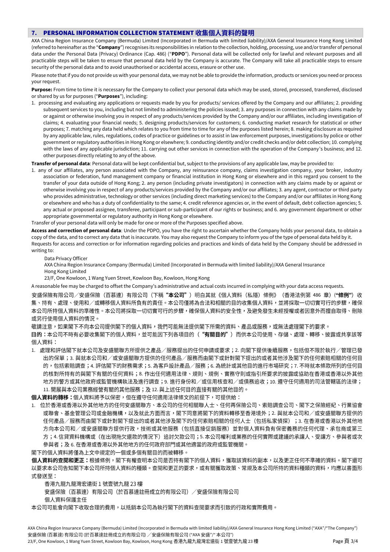#### **7.** PERSONAL INFORMATION COLLECTION STATEMENT

AXA China Region Insurance Company (Bermuda) Limited (Incorporated in Bermuda with limited liability)/AXA General Insurance Hong Kong Limited (referred to hereinafter as the "**Company**") recognises its responsibilities in relation to the collection, holding, processing, use and/or transfer of personal data under the Personal Data (Privacy) Ordinance (Cap. 486) ("**PDPO**"). Personal data will be collected only for lawful and relevant purposes and all practicable steps will be taken to ensure that personal data held by the Company is accurate. The Company will take all practicable steps to ensure security of the personal data and to avoid unauthorised or accidental access, erasure or other use.

Please note that if you do not provide us with your personal data, we may not be able to provide the information, products or services you need or process your request.

**Purpose:** From time to time it is necessary for the Company to collect your personal data which may be used, stored, processed, transferred, disclosed or shared by us for purposes ("**Purposes**"), including:

1. processing and evaluating any applications or requests made by you for products/ services offered by the Company and our affiliates; 2. providing subsequent services to you, including but not limited to administering the policies issued; 3. any purposes in connection with any claims made by or against or otherwise involving you in respect of any products/services provided by the Company and/or our affiliates, including investigation of claims; 4. evaluating your financial needs; 5. designing products/services for customers; 6. conducting market research for statistical or other purposes; 7. matching any data held which relates to you from time to time for any of the purposes listed herein; 8. making disclosure as required by any applicable law, rules, regulations, codes of practice or guidelines or to assist in law enforcement purposes, investigations by police or other government or regulatory authorities in Hong Kong or elsewhere; 9. conducting identity and/or credit checks and/or debt collection; 10. complying with the laws of any applicable jurisdiction; 11. carrying out other services in connection with the operation of the Company's business; and 12. other purposes directly relating to any of the above.

**Transfer of personal data**: Personal data will be kept confidential but, subject to the provisions of any applicable law, may be provided to:

1. any of our affiliates, any person associated with the Company, any reinsurance company, claims investigation company, your broker, industry association or federation, fund management company or financial institution in Hong Kong or elsewhere and in this regard you consent to the transfer of your data outside of Hong Kong; 2. any person (including private investigators) in connection with any claims made by or against or otherwise involving you in respect of any products/services provided by the Company and/or our affiliates; 3. any agent, contractor or third party who provides administrative, technology or other services (including direct marketing services) to the Company and/or our affiliates in Hong Kong or elsewhere and who has a duty of confidentiality to the same; 4. credit reference agencies or, in the event of default, debt collection agencies; 5. any actual or proposed assignee, transferee, participant or sub-participant of our rights or business; and 6. any government department or other appropriate governmental or regulatory authority in Hong Kong or elsewhere.

Transfer of your personal data will only be made for one or more of the Purposes specified above.

**Access and correction of personal data**: Under the PDPO, you have the right to ascertain whether the Company holds your personal data, to obtain a copy of the data, and to correct any data that is inaccurate. You may also request the Company to inform you of the type of personal data held by it. Requests for access and correction or for information regarding policies and practices and kinds of data held by the Company should be addressed in writing to:

Data Privacy Officer

 AXA China Region Insurance Company (Bermuda) Limited (Incorporated in Bermuda with limited liability)/AXA General Insurance Hong Kong Limited

23/F, One Kowloon, 1 Wang Yuen Street, Kowloon Bay, Kowloon, Hong Kong

A reasonable fee may be charged to offset the Company's administrative and actual costs incurred in complying with your data access requests.

安盛保險有限公司/安盛保險(百慕達)有限公司(下稱**"本公司"**)明白其就《個人資料(私隱)條例》(香港法例第 486 章)(**"條例"**)收 集、持有、處理、使用和/或轉移個人資料所負有的責任。本公司僅將為合法和相關的目的收集個人資料,並將採取一切切實可行的步驟,確保 本公司所持個人資料的準確性。本公司將採取一切切實可行的步驟,確保個人資料的安全性,及避免發生未經授權或者因意外而擅自取得、刪除 或另行使用個人資料的情況。

敬請注意,如果閣下不向本公司提供閣下的個人資料,我們可能無法提供閣下所需的資料、產品或服務,或無法處理閣下的要求。 **目的:**本公司不時有必要收集閣下的個人資料,並可能因下列各項目的("**有關目的**")而供本公司使用、存儲、處理、轉移、披露或共享該等 個人資料:

1. 處理和評估閣下就本公司及安盛關聯方所提供之產品/服務提出的任何申請或要求;2. 向閣下提供後續服務,包括但不限於執行/管理已發 出的保單;3. 與就本公司和/或安盛關聯方提供的任何產品/服務而由閣下或針對閣下提出的或者其他涉及閣下的任何索賠相關的任何目 的,包括索賠調查;4. 評估閣下的財務需求;5. 為客戶設計產品/服務;6. 為統計或其他目的進行市場研究;7. 不時就本條款所列的任何目 的核對所持有的與閣下有關的任何資料;8. 作出任何適用法律、規則、規例、實務守則或指引所要求的披露或協助在香港或香港以外其他 地方的警方或其他政府或監管機構執法及進行調查;9. 進行身份和/或信用核查和/或債務追收;10. 遵守任何適用的司法管轄區的法律; 11. 開展與本公司業務經營有關的其他服務;及 12. 與上述任何目的直接有關的其他目的。

個人資料的轉移:個人資料將予以保密,但在遵守任何適用法律條文的前提下,可提供給:

1. 位於香港或香港以外其他地方的任何安盛關聯方、本公司的任何相關聯人士、任何再保險公司、索賠調查公司、閣下之保險經紀、行業協會 或聯會、基金管理公司或金融機構,以及就此方面而言,閣下同意將閣下的資料轉移至香港境外;2. 與就本公司和/或安盛關聯方提供的 任何產品/服務而由閣下或針對閣下提出的或者其他涉及閣下的任何索賠相關的任何人士(包括私家偵探);3. 在香港或香港以外其他地 方向本公司和/或安盛關聯方提供行政,技術或其他服務(包括直接促銷服務)並對個人資料負有保密義務的任何代理、承包商或第三 方;4. 信貸資料機構或(在出現拖欠還款的情況下)追討欠款公司;5. 本公司權利或業務的任何實際或建議的承讓人、受讓方、參與者或次 參與者;及 6. 在香港或香港以外其他地方的任何政府部門或其他適當的政府或監管機關。

閣下的個人資料將僅為上文中規定的一個或多個有關目的而被轉移。

個人資料的查閱和更正:根據條例,閣下有權查明本公司是否持有閣下的個人資料,獲取該資料的副本,以及更正任何不準確的資料。閣下還可 以要求本公司告知閣下本公司所持個人資料的種類。查閱和更正的要求,或有關獲取政策、常規及本公司所持的資料種類的資料,均應以書面形 式發送至:

香港九龍九龍灣宏遠街 1號壹號九龍 23樓

安盛保險(百慕達)有限公司(於百慕達註冊成立的有限公司) /安盛保險有限公司

個人資料保護主任

本公司可能會向閣下收取合理的費用,以抵銷本公司為執行閣下的資料查閱要求而引致的行政和實際費用。